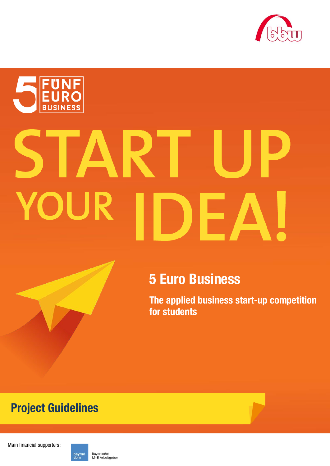



# $\blacksquare$ RT OUR Е,

# **5 Euro Business**

**The applied business start-up competition for students**

# **Project Guidelines**

Main financial supporters:

Bayerische bayme<br>vbm M+E Arbeitgeber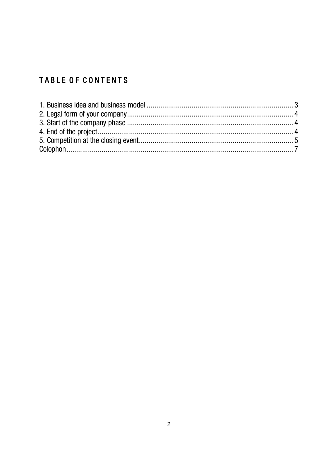# TABLE OF CONTENTS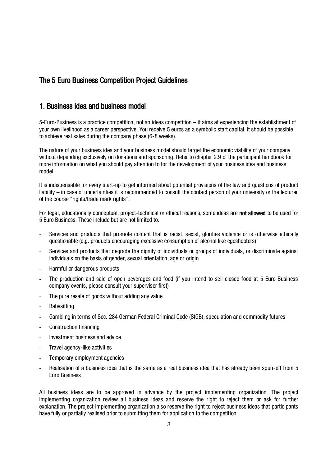# The 5 Euro Business Competition Project Guidelines

## <span id="page-2-0"></span>1. Business idea and business model

5-Euro-Business is a practice competition, not an ideas competition – it aims at experiencing the establishment of your own livelihood as a career perspective. You receive 5 euros as a symbolic start capital. It should be possible to achieve real sales during the company phase (6-8 weeks).

The nature of your business idea and your business model should target the economic viability of your company without depending exclusively on donations and sponsoring. Refer to chapter 2.9 of the participant handbook for more information on what you should pay attention to for the development of your business idea and business model.

It is indispensable for every start-up to get informed about potential provisions of the law and questions of product liability – in case of uncertainties it is recommended to consult the contact person of your university or the lecturer of the course "rights/trade mark rights".

For legal, educationally conceptual, project-technical or ethical reasons, some ideas are **not allowed** to be used for 5 Euro Business. These include but are not limited to:

- Services and products that promote content that is racist, sexist, glorifies violence or is otherwise ethically questionable (e.g. products encouraging excessive consumption of alcohol like egoshooters)
- Services and products that degrade the dignity of individuals or groups of individuals, or discriminate against individuals on the basis of gender, sexual orientation, age or origin
- Harmful or dangerous products
- The production and sale of open beverages and food (if you intend to sell closed food at 5 Euro Business company events, please consult your supervisor first)
- The pure resale of goods without adding any value
- **Babysitting**
- Gambling in terms of Sec. 284 German Federal Criminal Code (StGB); speculation and commodity futures
- Construction financing
- Investment business and advice
- Travel agency-like activities
- Temporary employment agencies
- Realisation of a business idea that is the same as a real business idea that has already been spun-off from 5 Euro Business

All business ideas are to be approved in advance by the project implementing organization. The project implementing organization review all business ideas and reserve the right to reject them or ask for further explanation. The project implementing organization also reserve the right to reject business ideas that participants have fully or partially realised prior to submitting them for application to the competition.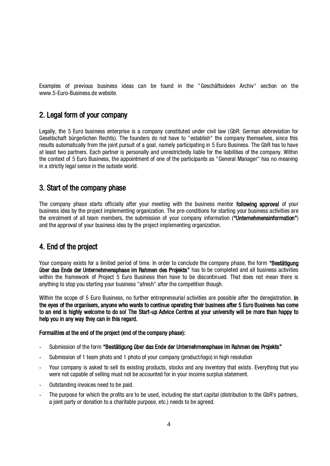Examples of previous business ideas can be found in the "Geschäftsideen Archiv" section on the www.5-Euro-Business.de website.

## <span id="page-3-0"></span>2. Legal form of your company

Legally, the 5 Euro business enterprise is a company constituted under civil law (GbR: German abbreviation for Gesellschaft bürgerlichen Rechts). The founders do not have to "establish" the company themselves, since this results automatically from the joint pursuit of a goal, namely participating in 5 Euro Business. The GbR has to have at least two partners. Each partner is personally and unrestrictedly liable for the liabilities of the company. Within the context of 5 Euro Business, the appointment of one of the participants as "General Manager" has no meaning in a strictly legal sense in the outside world.

#### <span id="page-3-1"></span>3. Start of the company phase

The company phase starts officially after your meeting with the business mentor **following approval** of your business idea by the project implementing organization. The pre-conditions for starting your business activities are the enrolment of all team members, the submission of your company information ("Unternehmensinformation") and the approval of your business idea by the project implementing organization.

## <span id="page-3-2"></span>4. End of the project

Your company exists for a limited period of time. In order to conclude the company phase, the form "Bestätigung über das Ende der Unternehmensphase im Rahmen des Projekts" has to be completed and all business activities within the framework of Project 5 Euro Business then have to be discontinued. That does not mean there is anything to stop you starting your business "afresh" after the competition though.

Within the scope of 5 Euro Business, no further entrepreneurial activities are possible after the deregistration. In the eyes of the organisers, anyone who wants to continue operating their business after 5 Euro Business has come to an end is highly welcome to do so! The Start-up Advice Centres at your university will be more than happy to help you in any way they can in this regard.

#### Formalities at the end of the project (end of the company phase):

- Submission of the form "Bestätigung über das Ende der Unternehmensphase im Rahmen des Projekts"
- Submission of 1 team photo and 1 photo of your company (product/logo) in high resolution
- Your company is asked to sell its existing products, stocks and any inventory that exists. Everything that you were not capable of selling must not be accounted for in your income surplus statement.
- Outstanding invoices need to be paid.
- The purpose for which the profits are to be used, including the start capital (distribution to the GbR's partners, a joint party or donation to a charitable purpose, etc.) needs to be agreed.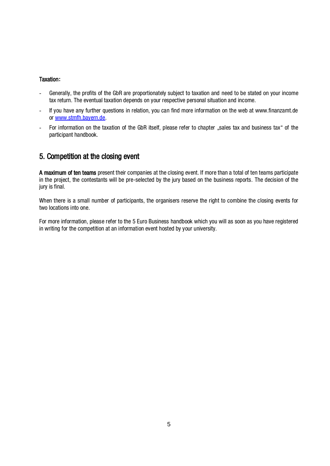#### Taxation**:**

- Generally, the profits of the GbR are proportionately subject to taxation and need to be stated on your income tax return. The eventual taxation depends on your respective personal situation and income.
- If you have any further questions in relation, you can find more information on the web at www.finanzamt.de or [www.stmfh.bayern.de.](http://www.stmfh.bayern.de/)
- For information on the taxation of the GbR itself, please refer to chapter "sales tax and business tax" of the participant handbook.

## <span id="page-4-0"></span>5. Competition at the closing event

A maximum of ten teams present their companies at the closing event. If more than a total of ten teams participate in the project, the contestants will be pre-selected by the jury based on the business reports. The decision of the jury is final.

When there is a small number of participants, the organisers reserve the right to combine the closing events for two locations into one.

For more information, please refer to the 5 Euro Business handbook which you will as soon as you have registered in writing for the competition at an information event hosted by your university.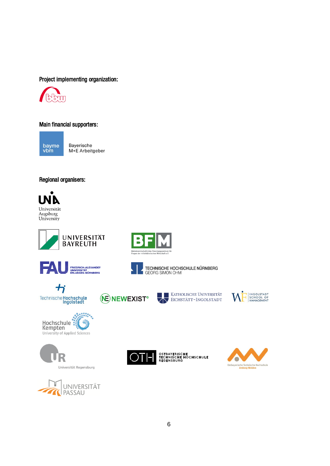#### Project implementing organization:



#### Main financial supporters:

bayme<br>vbm

Bayerische M+E Arbeitgeber

#### Regional organisers:















TECHNISCHE HOCHSCHULE NÜRNBERG